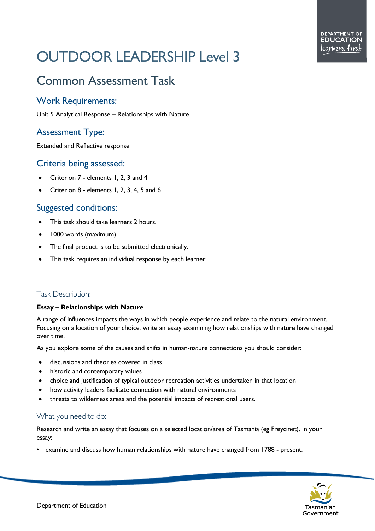# OUTDOOR LEADERSHIP Level 3

# Common Assessment Task

## Work Requirements:

Unit 5 Analytical Response – Relationships with Nature

# Assessment Type:

Extended and Reflective response

#### Criteria being assessed:

- Criterion 7 elements 1, 2, 3 and 4
- Criterion 8 elements 1, 2, 3, 4, 5 and 6

## Suggested conditions:

- This task should take learners 2 hours.
- 1000 words (maximum).
- The final product is to be submitted electronically.
- This task requires an individual response by each learner.

#### Task Description:

#### **Essay – Relationships with Nature**

A range of influences impacts the ways in which people experience and relate to the natural environment. Focusing on a location of your choice, write an essay examining how relationships with nature have changed over time.

As you explore some of the causes and shifts in human-nature connections you should consider:

- discussions and theories covered in class
- historic and contemporary values
- choice and justification of typical outdoor recreation activities undertaken in that location
- how activity leaders facilitate connection with natural environments
- threats to wilderness areas and the potential impacts of recreational users.

#### What you need to do:

Research and write an essay that focuses on a selected location/area of Tasmania (eg Freycinet). In your essay:

• examine and discuss how human relationships with nature have changed from 1788 - present.